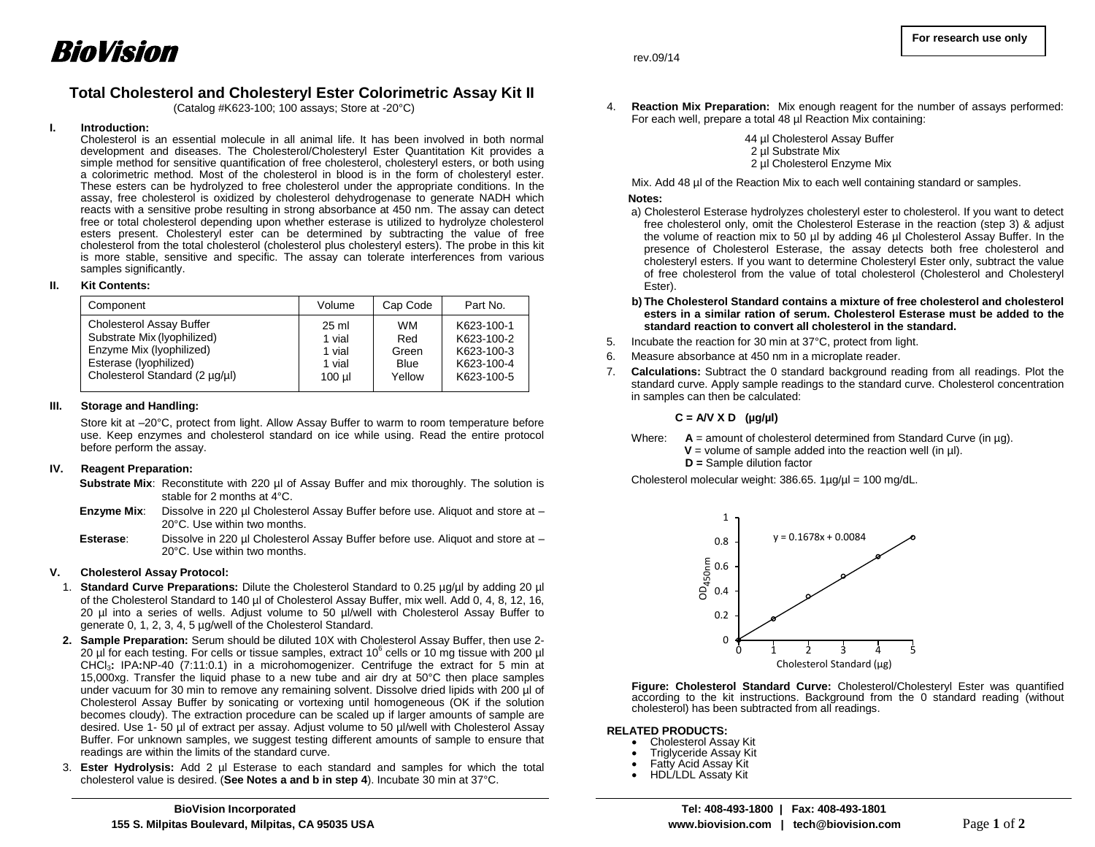# **Total Cholesterol and Cholesteryl Ester Colorimetric Assay Kit II**

(Catalog #K623-100; 100 assays; Store at -20°C)

#### **I. Introduction:**

Cholesterol is an essential molecule in all animal life. It has been involved in both normal development and diseases. The Cholesterol/Cholesteryl Ester Quantitation Kit provides a simple method for sensitive quantification of free cholesterol, cholesteryl esters, or both using a colorimetric method. Most of the cholesterol in blood is in the form of cholesteryl ester. These esters can be hydrolyzed to free cholesterol under the appropriate conditions. In the assay, free cholesterol is oxidized by cholesterol dehydrogenase to generate NADH which reacts with a sensitive probe resulting in strong absorbance at 450 nm. The assay can detect free or total cholesterol depending upon whether esterase is utilized to hydrolyze cholesterol esters present. Cholesteryl ester can be determined by subtracting the value of free cholesterol from the total cholesterol (cholesterol plus cholesteryl esters). The probe in this kit is more stable, sensitive and specific. The assay can tolerate interferences from various samples significantly.

## **II. Kit Contents:**

| Component                       | Volume   | Cap Code  | Part No.   |
|---------------------------------|----------|-----------|------------|
| <b>Cholesterol Assay Buffer</b> | 25 ml    | <b>WM</b> | K623-100-1 |
| Substrate Mix (lyophilized)     | 1 vial   | Red       | K623-100-2 |
| Enzyme Mix (lyophilized)        | 1 vial   | Green     | K623-100-3 |
| Esterase (Iyophilized)          | 1 vial   | Blue      | K623-100-4 |
| Cholesterol Standard (2 µg/µl)  | $100$ µl | Yellow    | K623-100-5 |

## **III. Storage and Handling:**

Store kit at –20°C, protect from light. Allow Assay Buffer to warm to room temperature before use. Keep enzymes and cholesterol standard on ice while using. Read the entire protocol before perform the assay.

#### **IV. Reagent Preparation:**

Substrate Mix: Reconstitute with 220 µl of Assay Buffer and mix thoroughly. The solution is stable for 2 months at 4°C.

- **Enzyme Mix:** Dissolve in 220 µl Cholesterol Assay Buffer before use. Aliquot and store at 20°C. Use within two months.
- **Esterase:** Dissolve in 220 µl Cholesterol Assay Buffer before use. Aliquot and store at 20°C. Use within two months.

# **V. Cholesterol Assay Protocol:**

- 1. **Standard Curve Preparations:** Dilute the Cholesterol Standard to 0.25 µg/µl by adding 20 µl of the Cholesterol Standard to 140 µl of Cholesterol Assay Buffer, mix well. Add 0, 4, 8, 12, 16, 20 µl into a series of wells. Adjust volume to 50 µl/well with Cholesterol Assay Buffer to generate 0, 1, 2, 3, 4, 5 µg/well of the Cholesterol Standard.
- **2. Sample Preparation:** Serum should be diluted 10X with Cholesterol Assay Buffer, then use 2- 20 µl for each testing. For cells or tissue samples, extract 10 $^6$  cells or 10 mg tissue with 200 µl CHCl3**:** IPA**:**NP-40 (7:11:0.1) in a microhomogenizer. Centrifuge the extract for 5 min at 15,000xg. Transfer the liquid phase to a new tube and air dry at 50°C then place samples under vacuum for 30 min to remove any remaining solvent. Dissolve dried lipids with 200 µl of Cholesterol Assay Buffer by sonicating or vortexing until homogeneous (OK if the solution becomes cloudy). The extraction procedure can be scaled up if larger amounts of sample are desired. Use 1- 50 µl of extract per assay. Adjust volume to 50 µl/well with Cholesterol Assay Buffer. For unknown samples, we suggest testing different amounts of sample to ensure that readings are within the limits of the standard curve.
- 3. **Ester Hydrolysis:** Add 2 µl Esterase to each standard and samples for which the total cholesterol value is desired. (**See Notes a and b in step 4**). Incubate 30 min at 37°C.

4. **Reaction Mix Preparation:** Mix enough reagent for the number of assays performed: For each well, prepare a total 48 µl Reaction Mix containing:

> 44 µl Cholesterol Assay Buffer 2 µl Substrate Mix 2 ul Cholesterol Enzyme Mix

Mix. Add 48 µl of the Reaction Mix to each well containing standard or samples.

## **Notes:**

- a) Cholesterol Esterase hydrolyzes cholesteryl ester to cholesterol. If you want to detect free cholesterol only, omit the Cholesterol Esterase in the reaction (step 3) & adjust the volume of reaction mix to 50 µl by adding 46 µl Cholesterol Assay Buffer. In the presence of Cholesterol Esterase, the assay detects both free cholesterol and cholesteryl esters. If you want to determine Cholesteryl Ester only, subtract the value of free cholesterol from the value of total cholesterol (Cholesterol and Cholesteryl Ester).
- **b) The Cholesterol Standard contains a mixture of free cholesterol and cholesterol esters in a similar ration of serum. Cholesterol Esterase must be added to the standard reaction to convert all cholesterol in the standard.**
- 5. Incubate the reaction for 30 min at 37°C, protect from light.
- 6. Measure absorbance at 450 nm in a microplate reader.
- 7. **Calculations:** Subtract the 0 standard background reading from all readings. Plot the standard curve. Apply sample readings to the standard curve. Cholesterol concentration in samples can then be calculated:

# **C = A/V X D (µg/µl)**

- Where:  $A =$  amount of cholesterol determined from Standard Curve (in  $\mu q$ ).  $V =$  volume of sample added into the reaction well (in  $\mu$ I).
	- **D =** Sample dilution factor

Cholesterol molecular weight: 386.65. 1µg/µl = 100 mg/dL.



**Figure: Cholesterol Standard Curve:** Cholesterol/Cholesteryl Ester was quantified according to the kit instructions. Background from the 0 standard reading (without cholesterol) has been subtracted from all readings.

#### **RELATED PRODUCTS:**

- Cholesterol Assay Kit
- Triglyceride Assay Kit
- Fatty Acid Assay Kit
	- HDL/LDL Assaty Kit